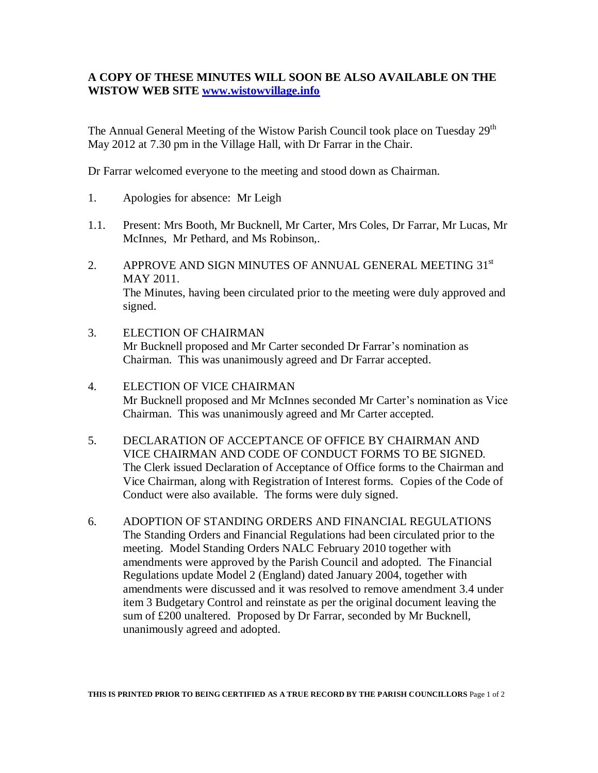## **A COPY OF THESE MINUTES WILL SOON BE ALSO AVAILABLE ON THE WISTOW WEB SITE [www.wistowvillage.info](http://www.wistowvillage.info/)**

The Annual General Meeting of the Wistow Parish Council took place on Tuesday 29<sup>th</sup> May 2012 at 7.30 pm in the Village Hall, with Dr Farrar in the Chair.

Dr Farrar welcomed everyone to the meeting and stood down as Chairman.

- 1. Apologies for absence: Mr Leigh
- 1.1. Present: Mrs Booth, Mr Bucknell, Mr Carter, Mrs Coles, Dr Farrar, Mr Lucas, Mr McInnes, Mr Pethard, and Ms Robinson,.
- 2. APPROVE AND SIGN MINUTES OF ANNUAL GENERAL MEETING 31st MAY 2011. The Minutes, having been circulated prior to the meeting were duly approved and signed.
- 3. ELECTION OF CHAIRMAN Mr Bucknell proposed and Mr Carter seconded Dr Farrar's nomination as Chairman. This was unanimously agreed and Dr Farrar accepted.
- 4. ELECTION OF VICE CHAIRMAN Mr Bucknell proposed and Mr McInnes seconded Mr Carter's nomination as Vice Chairman. This was unanimously agreed and Mr Carter accepted.
- 5. DECLARATION OF ACCEPTANCE OF OFFICE BY CHAIRMAN AND VICE CHAIRMAN AND CODE OF CONDUCT FORMS TO BE SIGNED. The Clerk issued Declaration of Acceptance of Office forms to the Chairman and Vice Chairman, along with Registration of Interest forms. Copies of the Code of Conduct were also available. The forms were duly signed.
- 6. ADOPTION OF STANDING ORDERS AND FINANCIAL REGULATIONS The Standing Orders and Financial Regulations had been circulated prior to the meeting. Model Standing Orders NALC February 2010 together with amendments were approved by the Parish Council and adopted. The Financial Regulations update Model 2 (England) dated January 2004, together with amendments were discussed and it was resolved to remove amendment 3.4 under item 3 Budgetary Control and reinstate as per the original document leaving the sum of £200 unaltered. Proposed by Dr Farrar, seconded by Mr Bucknell, unanimously agreed and adopted.